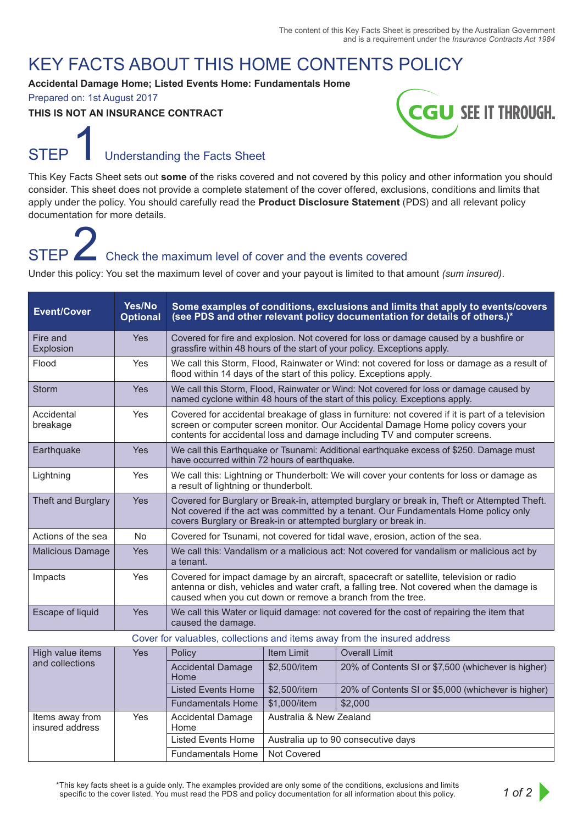### KEY FACTS ABOUT THIS HOME CONTENTS POLICY

#### **Accidental Damage Home; Listed Events Home: Fundamentals Home**

Prepared on: 1st August 2017

#### **THIS IS NOT AN INSURANCE CONTRACT**



### STEP **I** Understanding the Facts Sheet

This Key Facts Sheet sets out **some** of the risks covered and not covered by this policy and other information you should consider. This sheet does not provide a complete statement of the cover offered, exclusions, conditions and limits that apply under the policy. You should carefully read the **Product Disclosure Statement** (PDS) and all relevant policy documentation for more details.

## STEP  $\blacktriangle$  Check the maximum level of cover and the events covered

Under this policy: You set the maximum level of cover and your payout is limited to that amount *(sum insured)*.

| <b>Event/Cover</b>                                                       | Yes/No<br><b>Optional</b> | Some examples of conditions, exclusions and limits that apply to events/covers<br>(see PDS and other relevant policy documentation for details of others.)*                                                                                                        |  |  |  |
|--------------------------------------------------------------------------|---------------------------|--------------------------------------------------------------------------------------------------------------------------------------------------------------------------------------------------------------------------------------------------------------------|--|--|--|
| Fire and<br>Explosion                                                    | Yes                       | Covered for fire and explosion. Not covered for loss or damage caused by a bushfire or<br>grassfire within 48 hours of the start of your policy. Exceptions apply.                                                                                                 |  |  |  |
| Flood                                                                    | Yes                       | We call this Storm, Flood, Rainwater or Wind: not covered for loss or damage as a result of<br>flood within 14 days of the start of this policy. Exceptions apply.                                                                                                 |  |  |  |
| <b>Storm</b>                                                             | Yes                       | We call this Storm, Flood, Rainwater or Wind: Not covered for loss or damage caused by<br>named cyclone within 48 hours of the start of this policy. Exceptions apply.                                                                                             |  |  |  |
| Accidental<br>breakage                                                   | Yes                       | Covered for accidental breakage of glass in furniture: not covered if it is part of a television<br>screen or computer screen monitor. Our Accidental Damage Home policy covers your<br>contents for accidental loss and damage including TV and computer screens. |  |  |  |
| Earthquake                                                               | Yes                       | We call this Earthquake or Tsunami: Additional earthquake excess of \$250. Damage must<br>have occurred within 72 hours of earthquake.                                                                                                                             |  |  |  |
| Lightning                                                                | Yes                       | We call this: Lightning or Thunderbolt: We will cover your contents for loss or damage as<br>a result of lightning or thunderbolt.                                                                                                                                 |  |  |  |
| <b>Theft and Burglary</b>                                                | Yes                       | Covered for Burglary or Break-in, attempted burglary or break in, Theft or Attempted Theft.<br>Not covered if the act was committed by a tenant. Our Fundamentals Home policy only<br>covers Burglary or Break-in or attempted burglary or break in.               |  |  |  |
| Actions of the sea                                                       | No                        | Covered for Tsunami, not covered for tidal wave, erosion, action of the sea.                                                                                                                                                                                       |  |  |  |
| <b>Malicious Damage</b>                                                  | Yes                       | We call this: Vandalism or a malicious act: Not covered for vandalism or malicious act by<br>a tenant.                                                                                                                                                             |  |  |  |
| Impacts                                                                  | Yes                       | Covered for impact damage by an aircraft, spacecraft or satellite, television or radio<br>antenna or dish, vehicles and water craft, a falling tree. Not covered when the damage is<br>caused when you cut down or remove a branch from the tree.                  |  |  |  |
| Escape of liquid                                                         | Yes                       | We call this Water or liquid damage: not covered for the cost of repairing the item that<br>caused the damage.                                                                                                                                                     |  |  |  |
| Cover for valuables, collections and items away from the insured address |                           |                                                                                                                                                                                                                                                                    |  |  |  |
| High value items                                                         | $V_{\Omega}$              | Doliou<br>$\frac{1}{2}$ Itam Limit<br>$\bigcap$ Overall Limit                                                                                                                                                                                                      |  |  |  |

| High value items<br>and collections | Yes | Policy                           | Item Limit                          | <b>Overall Limit</b>                                |
|-------------------------------------|-----|----------------------------------|-------------------------------------|-----------------------------------------------------|
|                                     |     | <b>Accidental Damage</b><br>Home | \$2,500/item                        | 20% of Contents SI or \$7,500 (whichever is higher) |
|                                     |     | <b>Listed Events Home</b>        | \$2,500/item                        | 20% of Contents SI or \$5,000 (whichever is higher) |
|                                     |     | <b>Fundamentals Home</b>         | \$1,000/item                        | \$2,000                                             |
| Items away from<br>insured address  | Yes | <b>Accidental Damage</b><br>Home | Australia & New Zealand             |                                                     |
|                                     |     | <b>Listed Events Home</b>        | Australia up to 90 consecutive days |                                                     |
|                                     |     | <b>Fundamentals Home</b>         | Not Covered                         |                                                     |